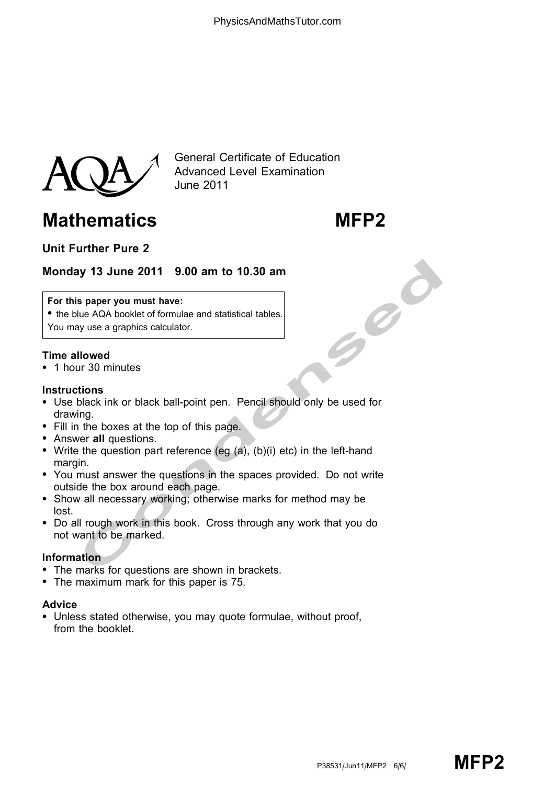

General Certificate of Education Advanced Level Examination June 2011

# Mathematics MFP2

# Unit Further Pure 2

## Monday 13 June 2011 9.00 am to 10.30 am

### For this paper you must have:

• the blue AQA booklet of formulae and statistical tables. You may use a graphics calculator.

#### Time allowed

\* 1 hour 30 minutes

#### **Instructions**

- IV 13 June 2011 9.00 am to 10.30 am<br>
s paper you must have:<br>
lue AQA booklet of formulae and statistical tables.<br>
you we a graphics calculator.<br>
Illowed<br>
ur 30 minutes<br>
ur 30 minutes<br>
ur 30 minutes<br>
interved<br>
ur 30 minutes \* Use black ink or black ball-point pen. Pencil should only be used for drawing.
- Fill in the boxes at the top of this page.
- Answer all questions.
- Write the question part reference (eg  $(a)$ ,  $(b)(i)$  etc) in the left-hand margin.
- \* You must answer the questions in the spaces provided. Do not write outside the box around each page.
- \* Show all necessary working; otherwise marks for method may be lost.
- \* Do all rough work in this book. Cross through any work that you do not want to be marked.

#### Information

- The marks for questions are shown in brackets.
- The maximum mark for this paper is 75.

#### Advice

• Unless stated otherwise, you may quote formulae, without proof, from the booklet.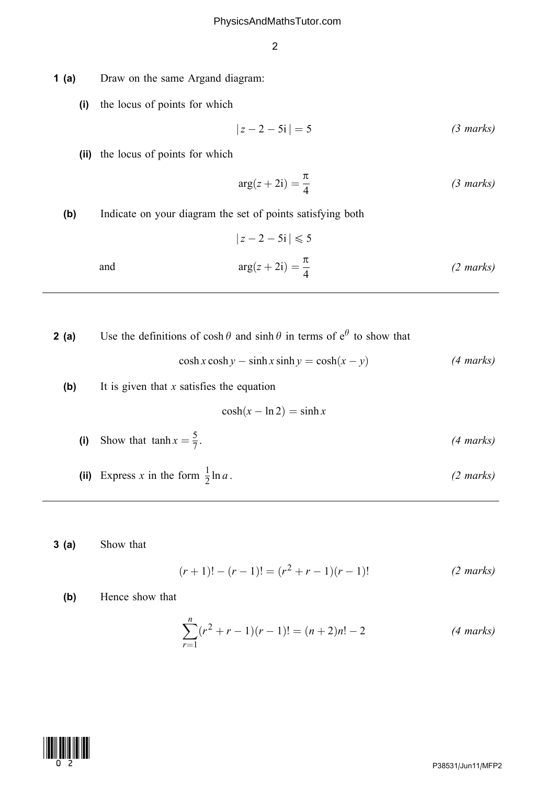- 1 (a) Draw on the same Argand diagram:
	- (i) the locus of points for which

$$
|z - 2 - 5i| = 5
$$
 (3 marks)

(ii) the locus of points for which

$$
arg(z + 2i) = \frac{\pi}{4}
$$
 (3 marks)

(b) Indicate on your diagram the set of points satisfying both

and 
$$
|z - 2 - 5i| \le 5
$$
  

$$
\arg(z + 2i) = \frac{\pi}{4}
$$
 (2 marks)

**2 (a)** Use the definitions of  $\cosh \theta$  and  $\sinh \theta$  in terms of  $e^{\theta}$  to show that

$$
\cosh x \cosh y - \sinh x \sinh y = \cosh(x - y) \tag{4 marks}
$$

(b) It is given that  $x$  satisfies the equation

 $\cosh(x - \ln 2) = \sinh x$ 

- (i) Show that  $\tanh x = \frac{5}{7}$ .  $\frac{5}{7}$ . (4 marks)
- (ii) Express x in the form  $\frac{1}{2} \ln a$ .  $\frac{1}{2}$ ln a . (2 marks)
- 3 (a) Show that

$$
(r+1)! - (r-1)! = (r2 + r - 1)(r-1)!
$$
 (2 marks)

(b) Hence show that

$$
\sum_{r=1}^{n} (r^2 + r - 1)(r - 1)! = (n + 2)n! - 2
$$
 (4 marks)

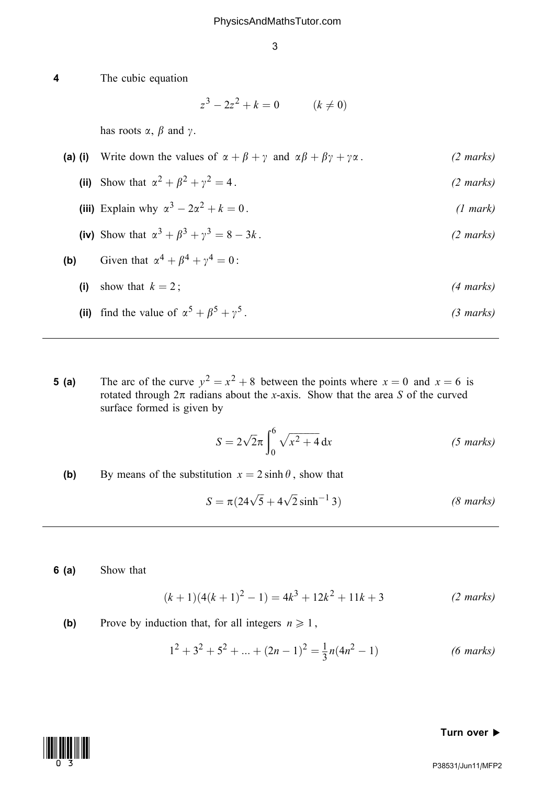$z^3 - 2z^2 + k = 0$   $(k \neq 0)$ has roots  $\alpha$ ,  $\beta$  and  $\gamma$ . (a) (i) Write down the values of  $\alpha + \beta + \gamma$  and  $\alpha\beta + \beta\gamma + \gamma\alpha$ . (2 marks) (ii) Show that  $\alpha^2 + \beta^2 + \gamma^2 = 4$ . (2 marks) (iii) Explain why  $\alpha^3 - 2\alpha^2 + k = 0$ . (1 mark) (iv) Show that  $\alpha^3 + \beta^3 + \gamma^3 = 8 - 3k$ .  $(2 \text{ marks})$ (b) Given that  $\alpha^4 + \beta^4 + \gamma^4 = 0$ : (i) show that  $k = 2$ ; (4 marks) (ii) find the value of  $\alpha^5 + \beta^5 + \gamma^5$ . (3 marks)

**5 (a)** The arc of the curve  $y^2 = x^2 + 8$  between the points where  $x = 0$  and  $x = 6$  is rotated through  $2\pi$  radians about the x-axis. Show that the area S of the curved surface formed is given by

$$
S = 2\sqrt{2}\pi \int_0^6 \sqrt{x^2 + 4} \, dx
$$
 (5 marks)

(b) By means of the substitution  $x = 2 \sinh \theta$ , show that

$$
S = \pi (24\sqrt{5} + 4\sqrt{2} \sinh^{-1} 3)
$$
 (8 marks)

6 (a) Show that

4 The cubic equation

$$
(k+1)(4(k+1)^{2} - 1) = 4k^{3} + 12k^{2} + 11k + 3
$$
 (2 marks)

(b) Prove by induction that, for all integers  $n \ge 1$ ,

$$
12 + 32 + 52 + ... + (2n - 1)2 = \frac{1}{3}n(4n2 - 1)
$$
 (6 marks)

#### Turn over  $\blacktriangleright$